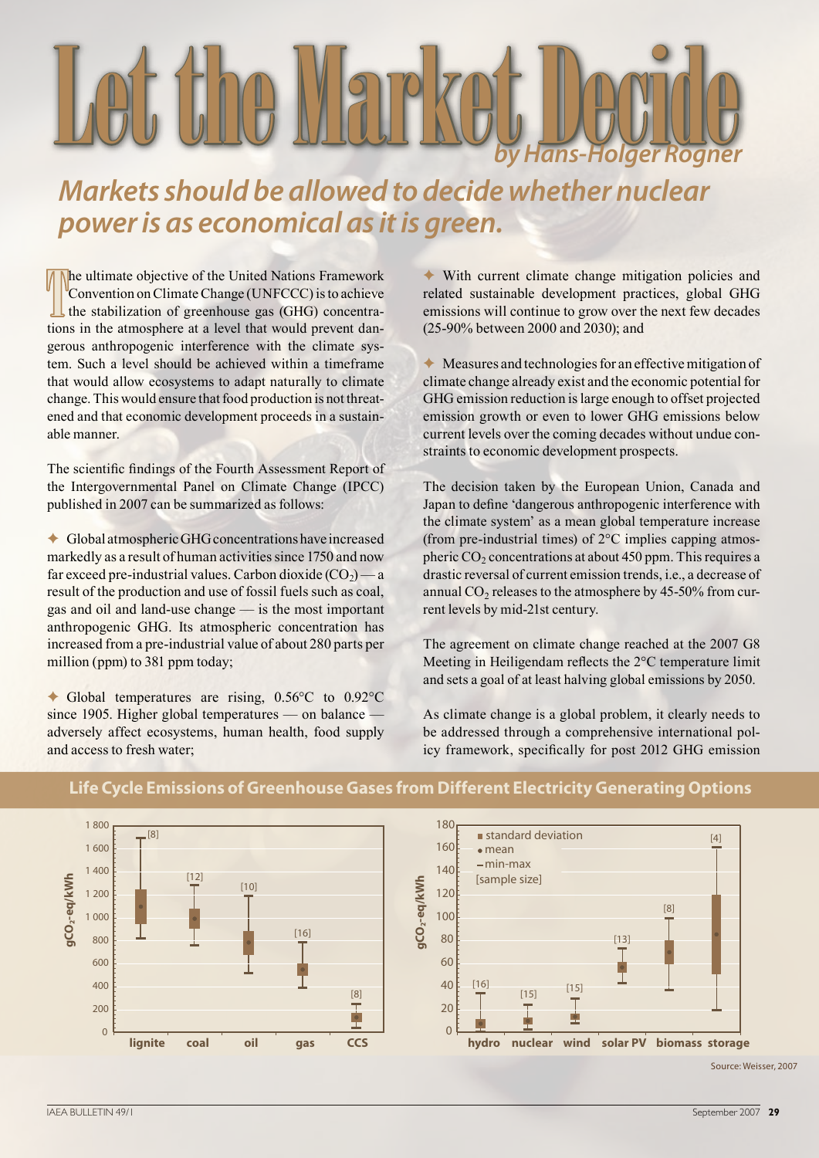# Let the Market Decide *by Hans-Holger Rogner*

# *Markets should be allowed to decide whether nuclear power is as economical as it is green.*

The ultimate objective of the United Nations Framework<br>
Convention on Climate Change (UNFCCC) is to achieve<br>
the stabilization of greenhouse gas (GHG) concentra-<br>
tions in the atmosphere at a level that would prevent danhe ultimate objective of the United Nations Framework Convention on Climate Change (UNFCCC) is to achieve the stabilization of greenhouse gas (GHG) concentragerous anthropogenic interference with the climate system. Such a level should be achieved within a timeframe that would allow ecosystems to adapt naturally to climate change. This would ensure that food production is not threatened and that economic development proceeds in a sustainable manner.

The scientific findings of the Fourth Assessment Report of the Intergovernmental Panel on Climate Change (IPCC) published in 2007 can be summarized as follows:

✦ Global atmospheric GHG concentrations have increased markedly as a result of human activities since 1750 and now far exceed pre-industrial values. Carbon dioxide  $(CO<sub>2</sub>)$  — a result of the production and use of fossil fuels such as coal, gas and oil and land-use change — is the most important anthropogenic GHG. Its atmospheric concentration has increased from a pre-industrial value of about 280 parts per million (ppm) to 381 ppm today;

✦ Global temperatures are rising, 0.56°C to 0.92°C since 1905. Higher global temperatures — on balance adversely affect ecosystems, human health, food supply and access to fresh water;

✦ With current climate change mitigation policies and related sustainable development practices, global GHG emissions will continue to grow over the next few decades (25-90% between 2000 and 2030); and

✦ Measures and technologies for an effective mitigation of climate change already exist and the economic potential for GHG emission reduction is large enough to offset projected emission growth or even to lower GHG emissions below current levels over the coming decades without undue constraints to economic development prospects.

The decision taken by the European Union, Canada and Japan to define 'dangerous anthropogenic interference with the climate system' as a mean global temperature increase (from pre-industrial times) of 2°C implies capping atmospheric  $CO<sub>2</sub>$  concentrations at about 450 ppm. This requires a drastic reversal of current emission trends, i.e., a decrease of annual  $CO<sub>2</sub>$  releases to the atmosphere by 45-50% from current levels by mid-21st century.

The agreement on climate change reached at the 2007 G8 Meeting in Heiligendam reflects the 2°C temperature limit and sets a goal of at least halving global emissions by 2050.

As climate change is a global problem, it clearly needs to be addressed through a comprehensive international policy framework, specifically for post 2012 GHG emission



#### **Life Cycle Emissions of Greenhouse Gases from Different Electricity Generating Options**

Source: Weisser, 2007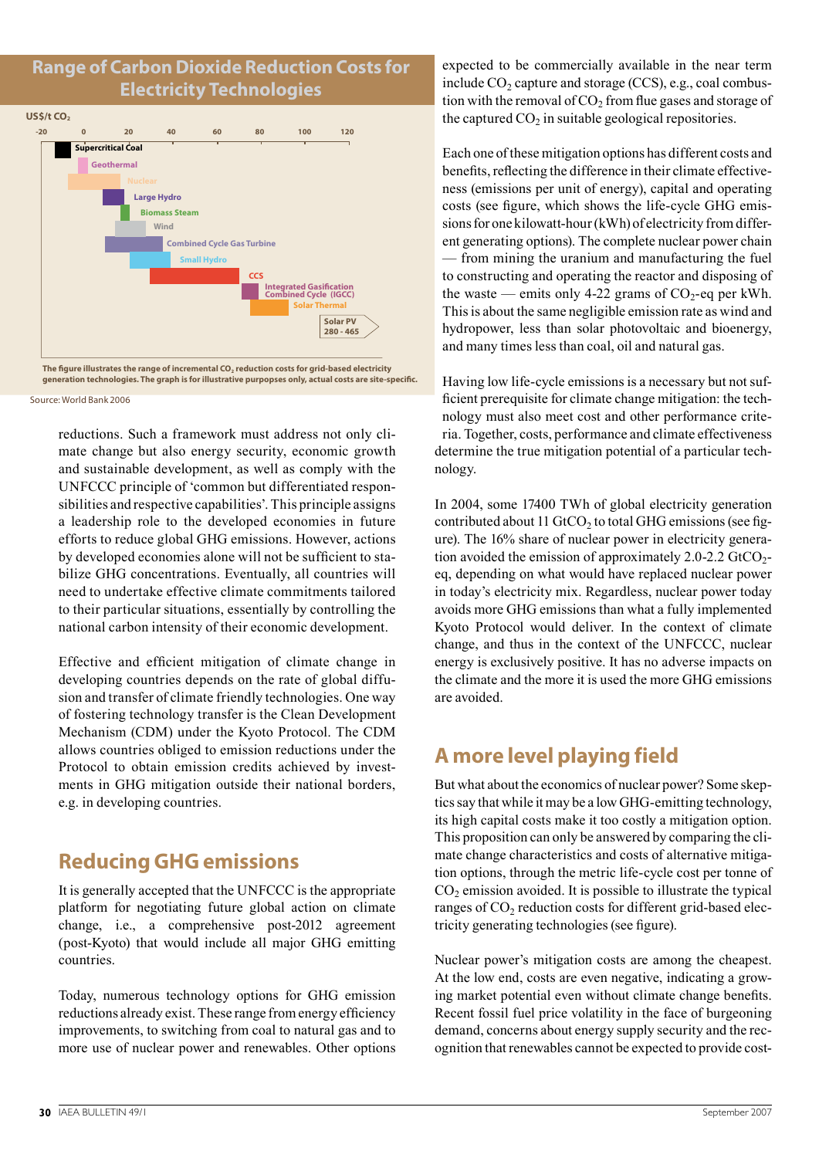#### **Range of Carbon Dioxide Reduction Costs for Electricity Technologies**





Source: World Bank 2006

reductions. Such a framework must address not only climate change but also energy security, economic growth and sustainable development, as well as comply with the UNFCCC principle of 'common but differentiated responsibilities and respective capabilities'. This principle assigns a leadership role to the developed economies in future efforts to reduce global GHG emissions. However, actions by developed economies alone will not be sufficient to stabilize GHG concentrations. Eventually, all countries will need to undertake effective climate commitments tailored to their particular situations, essentially by controlling the national carbon intensity of their economic development.

Effective and efficient mitigation of climate change in developing countries depends on the rate of global diffusion and transfer of climate friendly technologies. One way of fostering technology transfer is the Clean Development Mechanism (CDM) under the Kyoto Protocol. The CDM allows countries obliged to emission reductions under the Protocol to obtain emission credits achieved by investments in GHG mitigation outside their national borders, e.g. in developing countries.

### **Reducing GHG emissions**

It is generally accepted that the UNFCCC is the appropriate platform for negotiating future global action on climate change, i.e., a comprehensive post-2012 agreement (post-Kyoto) that would include all major GHG emitting countries.

Today, numerous technology options for GHG emission reductions already exist. These range from energy efficiency improvements, to switching from coal to natural gas and to more use of nuclear power and renewables. Other options expected to be commercially available in the near term include  $CO<sub>2</sub>$  capture and storage (CCS), e.g., coal combustion with the removal of  $CO<sub>2</sub>$  from flue gases and storage of the captured  $CO<sub>2</sub>$  in suitable geological repositories.

Each one of these mitigation options has different costs and benefits, reflecting the difference in their climate effectiveness (emissions per unit of energy), capital and operating costs (see figure, which shows the life-cycle GHG emissions for one kilowatt-hour (kWh) of electricity from different generating options). The complete nuclear power chain — from mining the uranium and manufacturing the fuel to constructing and operating the reactor and disposing of the waste — emits only 4-22 grams of  $CO_2$ -eq per kWh. This is about the same negligible emission rate as wind and hydropower, less than solar photovoltaic and bioenergy, and many times less than coal, oil and natural gas.

Having low life-cycle emissions is a necessary but not sufficient prerequisite for climate change mitigation: the technology must also meet cost and other performance criteria. Together, costs, performance and climate effectiveness determine the true mitigation potential of a particular technology.

In 2004, some 17400 TWh of global electricity generation contributed about 11 GtCO<sub>2</sub> to total GHG emissions (see figure). The 16% share of nuclear power in electricity generation avoided the emission of approximately  $2.0\n-2.2$  GtCO<sub>2</sub>eq, depending on what would have replaced nuclear power in today's electricity mix. Regardless, nuclear power today avoids more GHG emissions than what a fully implemented Kyoto Protocol would deliver. In the context of climate change, and thus in the context of the UNFCCC, nuclear energy is exclusively positive. It has no adverse impacts on the climate and the more it is used the more GHG emissions are avoided.

## **A more level playing field**

But what about the economics of nuclear power? Some skeptics say that while it may be a low GHG-emitting technology, its high capital costs make it too costly a mitigation option. This proposition can only be answered by comparing the climate change characteristics and costs of alternative mitigation options, through the metric life-cycle cost per tonne of  $CO<sub>2</sub>$  emission avoided. It is possible to illustrate the typical ranges of CO<sub>2</sub> reduction costs for different grid-based electricity generating technologies (see figure).

Nuclear power's mitigation costs are among the cheapest. At the low end, costs are even negative, indicating a growing market potential even without climate change benefits. Recent fossil fuel price volatility in the face of burgeoning demand, concerns about energy supply security and the recognition that renewables cannot be expected to provide cost